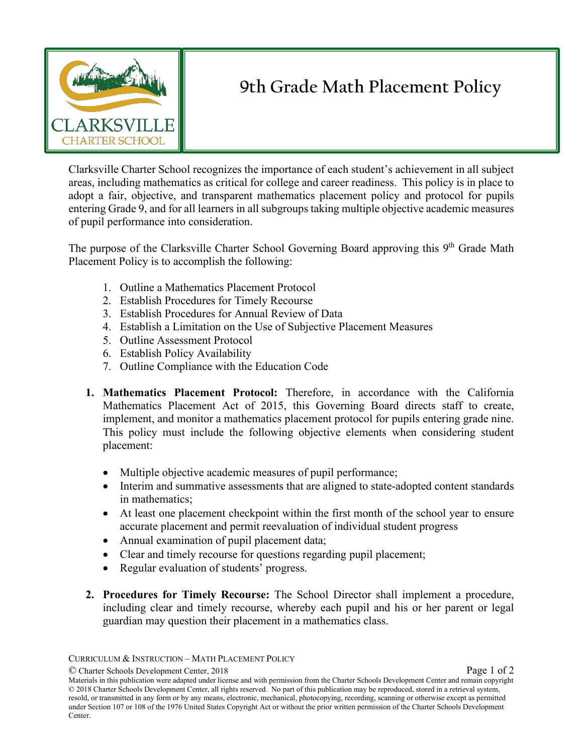

## **9th Grade Math Placement Policy**

Clarksville Charter School recognizes the importance of each student's achievement in all subject areas, including mathematics as critical for college and career readiness. This policy is in place to adopt a fair, objective, and transparent mathematics placement policy and protocol for pupils entering Grade 9, and for all learners in all subgroups taking multiple objective academic measures of pupil performance into consideration.

The purpose of the Clarksville Charter School Governing Board approving this 9<sup>th</sup> Grade Math Placement Policy is to accomplish the following:

- 1. Outline a Mathematics Placement Protocol
- 2. Establish Procedures for Timely Recourse
- 3. Establish Procedures for Annual Review of Data
- 4. Establish a Limitation on the Use of Subjective Placement Measures
- 5. Outline Assessment Protocol
- 6. Establish Policy Availability
- 7. Outline Compliance with the Education Code
- **1. Mathematics Placement Protocol:** Therefore, in accordance with the California Mathematics Placement Act of 2015, this Governing Board directs staff to create, implement, and monitor a mathematics placement protocol for pupils entering grade nine. This policy must include the following objective elements when considering student placement:
	- Multiple objective academic measures of pupil performance;
	- Interim and summative assessments that are aligned to state-adopted content standards in mathematics;
	- At least one placement checkpoint within the first month of the school year to ensure accurate placement and permit reevaluation of individual student progress
	- Annual examination of pupil placement data;
	- Clear and timely recourse for questions regarding pupil placement;
	- Regular evaluation of students' progress.
- **2. Procedures for Timely Recourse:** The School Director shall implement a procedure, including clear and timely recourse, whereby each pupil and his or her parent or legal guardian may question their placement in a mathematics class.

CURRICULUM & INSTRUCTION – MATH PLACEMENT POLICY

<sup>©</sup> Charter Schools Development Center, 2018 Page 1 of 2

Materials in this publication were adapted under license and with permission from the Charter Schools Development Center and remain copyright © 2018 Charter Schools Development Center, all rights reserved. No part of this publication may be reproduced, stored in a retrieval system, resold, or transmitted in any form or by any means, electronic, mechanical, photocopying, recording, scanning or otherwise except as permitted under Section 107 or 108 of the 1976 United States Copyright Act or without the prior written permission of the Charter Schools Development Center.